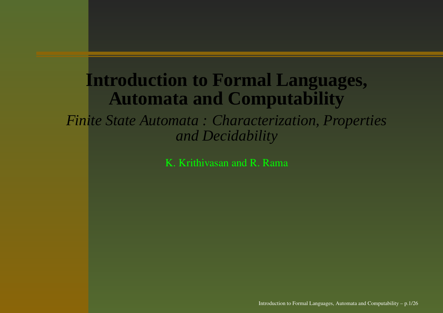#### **Introduction to Formal Languages, Automata and Computability**

*Finite State Automata : Characterization, Properties and Decidability*

K. Krithivasan and R. Rama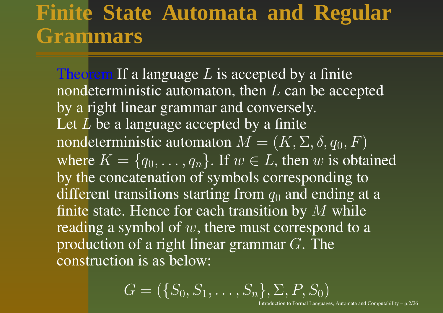#### **Finite State Automata and Regular Grammars**

Theorem If a language  $L$  is accepted by a finite nondeterministic automaton, then  $L$  can be accepted by <sup>a</sup> right linear grammar and conversely. Let  $L$  be a language accepted by a finite nondeterministic automaton  $M = (K,\Sigma,\delta,q_0,F)$ where  $K = \{q_0, \ldots, q_n\}$ . If  $w \in L$ , then  $w$  is obtained by the concatenation of symbols corresponding to different transitions starting from  $q_0$  and ending at a finite state. Hence for each transition by  $M$  while reading a symbol of  $w$ , there must correspond to a production of <sup>a</sup> right linear grammar G. The construction is as below:

$$
G = (\{S_0, S_1, \ldots, S_n\}, \Sigma, P, S_0)
$$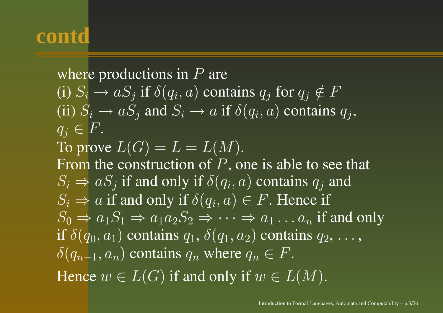where productions in  $P$  are (i)  $S_i \rightarrow aS_j$  if  $\delta(q_i, a)$  contains  $q_j$  for  $q_j \notin F$ (ii)  $S_i \rightarrow aS_j$  and  $S_i \rightarrow a$  if  $\delta(q_i, a)$  contains  $q_i$ ,  $q_i \in F$ . To prove  $L(G)=L=L(M).$ From the construction of  $P$ , one is able to see that  $S_i \Rightarrow a S_j$  if and only if  $\delta(q_i,a)$  contains  $q_j$  and  $S_i \Rightarrow a$  if and only if  $\delta(q_i, a) \in F$ . Hence if  $S_0 \Rightarrow a_1 S_1 \Rightarrow a_1 a_2 S_2 \Rightarrow \dots \Rightarrow a_1 \dots a_n$  if and only if  $\delta(q_0,a_1)$  contains  $q_1,\,\delta(q_1,a_2)$  contains  $q_2,\,\ldots,$  $\delta(q_{n-1}, a_n)$  contains  $q_n$  where  $q_n \in F$ . Hence  $w\in L(G)$  if and only if  $w\in L(M).$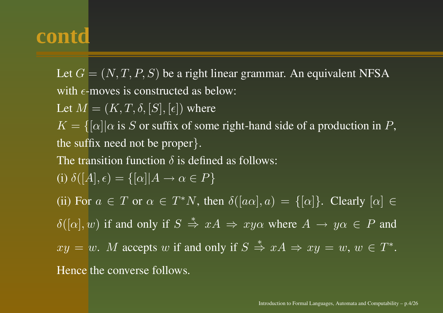Let  $G = (N, T, P, S)$  be a right linear grammar. An equivalent NFSA with  $\epsilon$ -moves is constructed as below:

Let  $M = (K, T, \delta, [S], [\epsilon])$  where

 $K = \{[\alpha] | \alpha \text{ is } S \text{ or suffix of some right-hand side of a production in } P,$ the suffix need not be proper}.

The transition function  $\delta$  is defined as follows:

(i) 
$$
\delta([A], \epsilon) = \{[\alpha]|A \to \alpha \in P\}
$$

(ii) For  $a \in T$  or  $\alpha \in T^*N$ , then  $\delta([a\alpha], a) = \{[\alpha]\}\$ . Clearly  $[\alpha] \in$ 

 $\delta([\alpha], w)$  if and only if  $S \stackrel{*}{\Rightarrow} xA \Rightarrow xy\alpha$  where  $A \rightarrow y\alpha \in P$  and

 $xy = w$ . M accepts w if and only if  $S \stackrel{*}{\Rightarrow} xA \Rightarrow xy = w$ ,  $w \in T^*$ .

Hence the converse follows.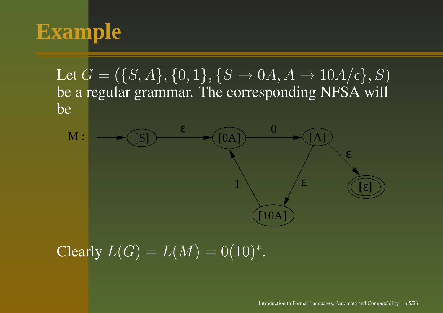# **Example**

Let  $G = (\{S,A\}, \{0,1\}, \{S \rightarrow 0A, A \rightarrow 10A/\epsilon\}, S)$ be <sup>a</sup> regular grammar. The corresponding NFSA will be



#### Clearly  $L(G) = L(M) = 0(10)^{*}$ .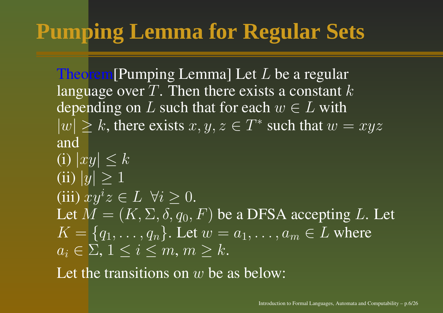# **Pumping Lemma for Regular Sets**

Theorem[Pumping Lemma] Let L be <sup>a</sup> regular language over  $T$ . Then there exists a constant  $k$ depending on L such that for each  $w \in L$  with  $|w| \geq k$ , there exists  $x, y, z \in T^*$  such that  $w = xyz$ and(i)  $|xy| \leq k$ (ii)  $|y| \geq 1$ (iii)  $xy^iz \in L \ \forall i \geq 0$ .

Let  $M = (K,\Sigma,\delta,q_0,F)$  be a DFSA accepting  $L.$  Let  $K = \{q_1, \ldots, q_n\}$ . Let  $w = a_1, \ldots, a_m \in L$  where  $a_i \in \Sigma, \, 1 \leq i \leq m, \, m \geq k.$ 

Let the transitions on  $w$  be as below: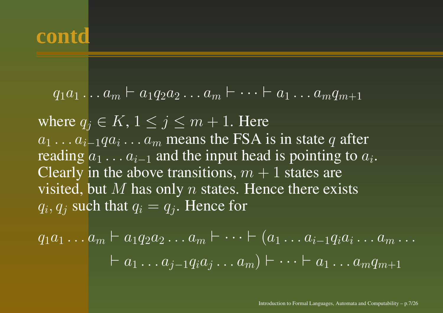$$
q_1a_1 \ldots a_m \vdash a_1q_2a_2 \ldots a_m \vdash \cdots \vdash a_1 \ldots a_mq_{m+1}
$$

where  $q_j \in K, 1 \leq j \leq m+1.$  Here  $a_1 \ldots a_{i-1}qa_i \ldots a_m$  means the FSA is in state  $q$  after reading  $a_1 \ldots a_{i-1}$  and the input head is pointing to  $a_i$ . Clearly in the above transitions,  $\overline{m} + 1$  states are visited, but M has only n states. Hence there exists  $q_i, q_j$  such that  $q_i = \overline{q_j}$ . Hence for

$$
q_1a_1 \ldots a_m \vdash a_1 q_2 a_2 \ldots a_m \vdash \cdots \vdash (a_1 \ldots a_{i-1} q_i a_i \ldots a_m \ldots \newline \vdash a_1 \ldots a_{j-1} q_i a_j \ldots a_m) \vdash \cdots \vdash a_1 \ldots a_m q_{m+1}
$$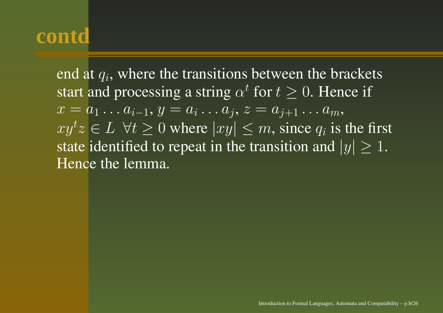end at  $q_i$ , where the transitions between the brackets start and processing a string  $\alpha^t$  for  $t\geq 0.$  Hence if  $x=a_1\ldots a_{i-1}, y=a_i\ldots a_j, z=a_{j+1}\ldots a_m,$  $xy^tz \in L \ \forall t \geq 0$  where  $|xy| \leq m$ , since  $q_i$  is the first state identified to repeat in the transition and  $|y|\geq 1.$ Hence the lemma.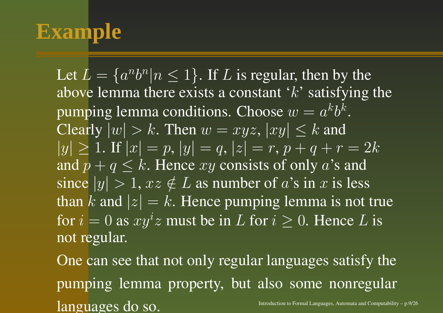## **Example**

Let  $L = \{a^n b^n | n \leq 1\}.$  If  $L$  is regular, then by the above lemma there exists a constant ' $k$ ' satisfying the pumping lemma conditions. Choose  $w = a^k b^k$ . Clearly  $|w| > k$ . Then  $w = xyz$ ,  $|xy| \leq k$  and  $|y| \ge 1$ . If  $|x| = p$ ,  $|y| = q$ ,  $|z| = r$ ,  $p + q + r = 2k$ and  $p+q\leq k.$  Hence  $xy$  consists of only  $a$ 's and since  $|y| > 1$ ,  $xz \notin L$  as number of  $a$ 's in  $x$  is less than  $k$  and  $|z|=k.$  Hence pumping lemma is not true for  $i = 0$  as  $xy^iz$  must be in L for  $i \geq 0$ . Hence L is not regular.

One can see that not only regular languages satisfy the pumping lemma property, but also some nonregular  $\ln$ Introduction to Formal Languages, Automata and Computability – p.9/26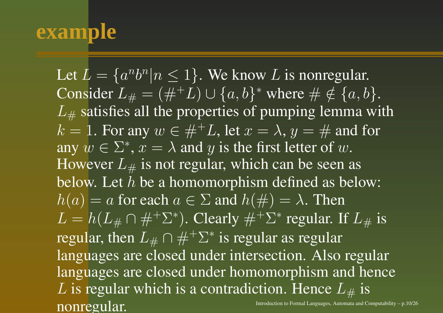#### **example**

Let  $L = \{a^n b^n | n \leq 1\}$ . We know  $L$  is nonregular. Consider  $L_{\#} = (\#^{+}L) \cup \{a,b\}^*$  where  $\# \notin \{a,b\}.$  $L_{\#}$  satisfies all the properties of pumping lemma with  $k=1.$  For any  $w\in \#^+L,$  let  $x=\lambda,$   $y=\#$  and for any  $w \in \Sigma^*$ ,  $x = \lambda$  and y is the first letter of w. However  $L_{\#}$  is not regular, which can be seen as below. Let  $h$  be a homomorphism defined as below:  $h(a) = a$  for each  $a \in \Sigma$  and  $h(\#) = \lambda$ . Then  $L = h(L_{\#} \cap \#^+ \Sigma^*)$ . Clearly  $\#^+ \Sigma^*$  regular. If  $L_{\#}$  is regular, then  $L_{\#} \cap \#^{+} \Sigma^{*}$  is regular as regular languages are closed under intersection. Also regular languages are closed under homomorphism and hence  $L$  is regular which is a contradiction. Hence  $L_{\#}$  is ntroduction to Formal Languages, Automata and Computability – p.10/26<br> **NONICQUIAI**.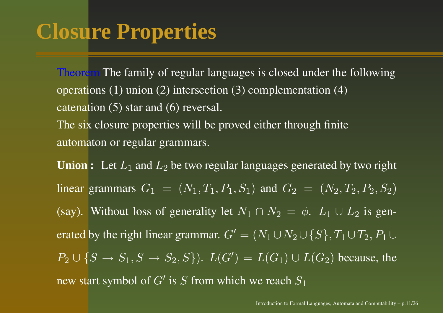## **Closure Properties**

Theorem The family of regular languages is closed under the following operations (1) union (2) intersection (3) complementation (4) catenation (5) star and (6) reversal.

The six closure properties will be proved either through finite automaton or regular grammars.

 $\mathbf{Union: } \quad \mathbf{Let} \ L_1 \ \text{and} \ L_2 \ \text{be two regular languages generated by two right}$ linear grammars  $G_1 = (N_1, T_1, P_1, S_1)$  and  $G_2 = (N_2, T_2, P_2, S_2)$ (say). Without loss of generality let  $N_1 \cap N_2 = \phi$ .  $L_1 \cup L_2$  is generated by the right linear grammar.  $G'=(N_1\cup N_2\cup \{S\}, T_1\cup T_2, P_1\cup$  $P_2 \cup \{S \to S_1, S \to S_2, S\}$ ).  $L(G') = L(G_1) \cup L(G_2)$  because, the new start symbol of  $G'$  is  $S$  from which we reach  $S_1$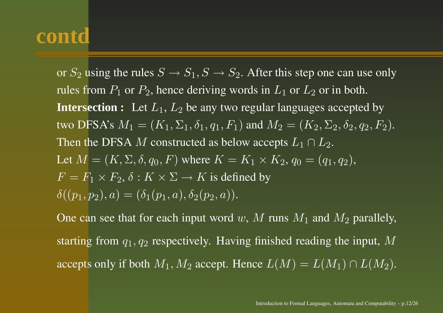or  $S_2$  using the rules  $S \to S_1, S \to S_2.$  After this step one can use only rules from  $P_1$  or  $P_2$ , hence deriving words in  $L_1$  or  $L_2$  or in both.  ${\bf Intersection:}$   $\;$  Let  $L_1,$   $L_2$  be any two regular languages accepted by two DFSA's  $M_1=(K_1,\Sigma_1,\delta_1,q_1,F_1)$  and  $M_2=(K_2,\Sigma_2,\delta_2,q_2,F_2).$ Then the DFSA  $M$  constructed as below accepts  $L_1 \cap L_2.$ Let  $M = (K, \Sigma, \delta, q_0, F)$  where  $K = K_1 \times K_2$ ,  $q_0 = (q_1, q_2)$ ,  $F = F_1 \times F_2$ ,  $\delta: K \times \Sigma \to K$  is defined by  $\delta((p_1, p_2), a) = (\delta_1(p_1, a), \delta_2(p_2, a)).$ 

One can see that for each input word  $w,$   $M$  runs  $M_1$  and  $M_2$  parallely, starting from  $q_1, q_2$  respectively. Having finished reading the input, M accepts only if both  $M_1, M_2$  accept. Hence  $L(M) = L(M_1) \cap L(M_2)$ .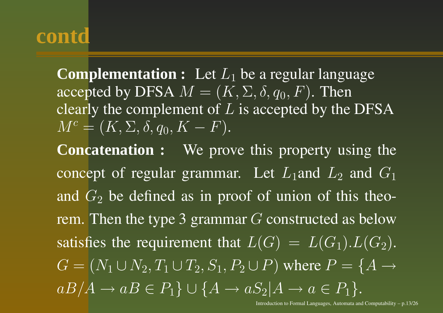**Complementation :** Let  $L_1$  be a regular language accepted by DFSA  $M = (K, \Sigma, \delta, q_0, F)$ . Then clearly the complement of  $L$  is accepted by the DFSA  $M^c=(K,\Sigma,\delta,q_0,K-F).$ 

**Concatenation :** We prove this property using the concept of regular grammar. Let  $L_1$  and  $L_2$  and  $G_1$ and  $G_2$  be defined as in proof of union of this theorem. Then the type 3 grammar  $G$  constructed as below satisfies the requirement that  $L(G) = L(G_1) . L(G_2) .$  $G = (N_1 \cup N_2, T_1 \cup T_2, S_1, P_2 \cup P)$  where  $P = \{A \rightarrow$  $aB/A \rightarrow aB \in P_1$ }  $\cup$  { $A \rightarrow aS_2$ ] $A \rightarrow a \in P_1$  }.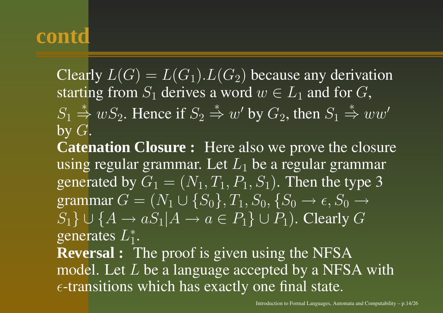Clearly  $L(G) = L(G_1) \cdot L(G_2)$  because any derivation starting from  $S_1$  derives a word  $w \in L_1$  and for  $G$ ,

 $S_1 \stackrel{*}{\Rightarrow} wS_2$ . Hence if  $S_2 \stackrel{*}{\Rightarrow} w'$  by  $G_2$ , then  $S_1 \stackrel{*}{\Rightarrow} ww'$ by  $G$ .

**Catenation Closure :** Here also we prove the closure using regular grammar. Let  $L_1$  be a regular grammar generated by  $G_1 = (N_1, T_1, P_1, S_1)$ . Then the type 3 grammar  $G = (N_1 \cup \{S_0\}, T_1, S_0, \{S_0 \rightarrow \epsilon, S_0 \rightarrow \epsilon\})$  $S_1$ } ∪ { $A \rightarrow aS_1 | A \rightarrow a \in P_1$ } ∪  $P_1$ ). Clearly G generates  $L_{1}^{*}$ .

**Reversal :** The proof is given using the NFSA model. Let  $L$  be a language accepted by a NFSA with  $\epsilon$ -transitions which has exactly one final state.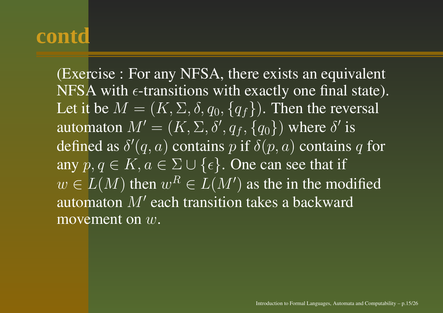(Exercise : For any NFSA, there exists an equivalent NFSA with  $\epsilon$ -transitions with exactly one final state). Let it be  $M = (K,\Sigma,\delta,q_0,\{q_f\})$ . Then the reversal automaton  $M' = (K, \Sigma, \delta', q_f, \{q_0\})$  where  $\delta'$  is defined as  $\delta'(q,a)$  contains  $p$  if  $\delta(p,a)$  contains  $q$  for any  $p, q \in K, a \in \Sigma \cup \{\epsilon\}$ . One can see that if  $w \in L(M)$  then  $w^R \in L(M')$  as the in the modified automaton  $M'$  each transition takes a backward movement on  $w.$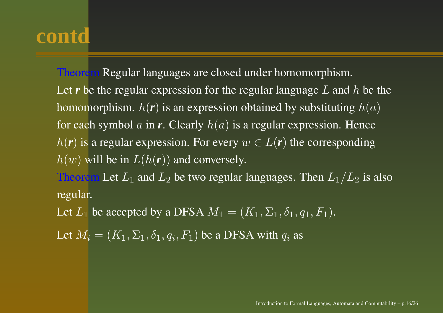Theorem Regular languages are closed under homomorphism. Let *r* be the regular expression for the regular language L and h be the homomorphism.  $h(r)$  is an expression obtained by substituting  $h(a)$ for each symbol  $a$  in  $r.$  Clearly  $h(a)$  is a regular expression. Hence  $h(r)$  is a regular expression. For every  $w \in L(r)$  the corresponding  $h(w)$  will be in  $L(h(r))$  and conversely.

Theorem Let  $L_1$  and  $L_2$  be two regular languages. Then  $L_1/L_2$  is also regular.

Let  $L_1$  be accepted by a DFSA  $M_1=(K_1,\Sigma_1,\delta_1,q_1,F_1).$ 

Let  $M_i = (K_1, \Sigma_1, \delta_1, q_i, F_1)$  be a DFSA with  $q_i$  as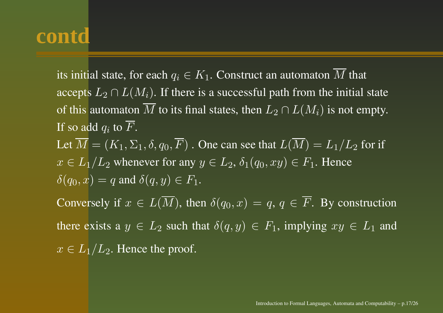its initial state, for each  $q_i \in K_1.$  Construct an automaton  $M$  that accepts  $L_2 \cap L(M_i)$ . If there is a successful path from the initial state of this automaton  $M$  to its final states, then  $L_2\cap L(M_i)$  is not empty. If so add  $q_i$  to  $F.$ Let  $M = (K_1, \Sigma_1, \delta, q_0, F)$  . One can see that  $L(M) = L_1/L_2$  for if  $x \in L_1/L_2$  whenever for any  $y \in L_2$ ,  $\delta_1(q_0, xy) \in F_1$ . Hence  $\delta(q_0, x) = q$  and  $\delta(q, y) \in F_1$ . Conversely if  $x \in L(\overline{M})$ , then  $\delta(q_0, x) = q, q \in \overline{F}$ . By construction there exists a  $y \in L_2$  such that  $\delta(q, y) \in F_1$ , implying  $xy \in L_1$  and  $x\in L_1/L_2.$  Hence the proof.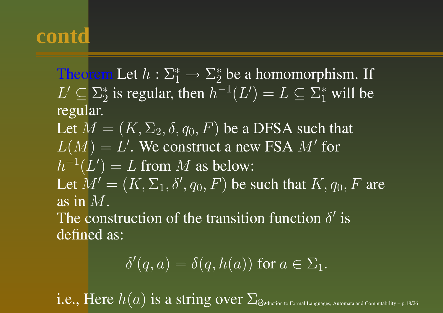Theorem Let  $h: \Sigma_1^* \to \Sigma_2^*$  be a homomorphism. If  $L' \subseteq \Sigma_2^*$  is regular, then  $h^{-1}(L') = L \subseteq \Sigma_1^*$  will be regular. Let  $M = (K,\Sigma_2,\delta,q_0,F)$  be a DFSA such that  $L(M) = L'$ . We construct a new FSA  $M'$  for  $h^{-1}(L') = L$  from M as below: Let  $M' = (K, \Sigma_1, \delta', q_0, F)$  be such that  $K, q_0, F$  are as in  $M.$ The construction of the transition function  $\delta'$  is

defined as:

$$
\delta'(q, a) = \delta(q, h(a)) \text{ for } a \in \Sigma_1.
$$

 $i.e., Here$   $h(a)$  is a string over  $\Sigma_{\text{in}$  outcom to Formal Languages, Automata and Computability – p.18/26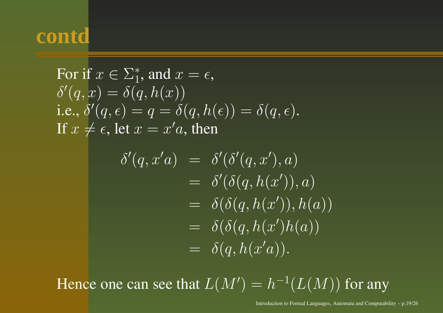For if 
$$
x \in \Sigma_1^*
$$
, and  $x = \epsilon$ ,  
\n $\delta'(q, x) = \delta(q, h(x))$   
\ni.e.,  $\delta'(q, \epsilon) = q = \delta(q, h(\epsilon)) = \delta(q, \epsilon)$ .  
\nIf  $x \neq \epsilon$ , let  $x = x'a$ , then

$$
\begin{array}{rcl}\n\delta'(q, x'a) & = & \delta'(\delta'(q, x'), a) \\
& = & \delta'(\delta(q, h(x')), a) \\
& = & \delta(\delta(q, h(x')), h(a)) \\
& = & \delta(\delta(q, h(x')h(a)) \\
& = & \delta(q, h(x'a)).\n\end{array}
$$

Hence one can see that  $L(M') = h^{-1}(L(M))$  for any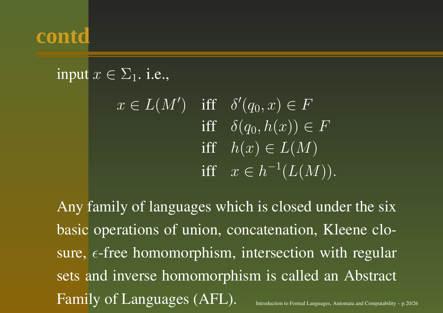input  $x \in \Sigma_1$ . i.e.,

 $x\in L(M')\quad\text{iff}\quad \delta'(q_0,x)\in F$  $\quad \ \ \delta(q_0,h(x))\in F$  $\quad \text{iff} \quad h(x) \in L(M)$  $\quad \text{iff} \quad x \in h^{-1}(L(M)).$ 

Any family of languages which is closed under the six basic operations of union, concatenation, Kleene closure,  $\epsilon$ -free homomorphism, intersection with regular sets and inverse homomorphism is called an Abstract Family of Languages (AFL). Introduction to Formal Languages, Automata and Computability – p.20/26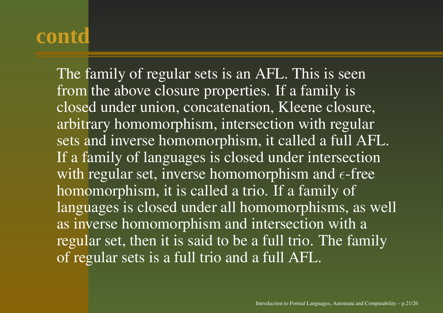The family of regular sets is an AFL. This is seen from the above closure properties. If <sup>a</sup> family is closed under union, concatenation, Kleene closure, arbitrary homomorphism, intersection with regular sets and inverse homomorphism, it called <sup>a</sup> full AFL. If a family of languages is closed under intersection with regular set, inverse homomorphism and  $\epsilon\text{-free}$ homomorphism, it is called <sup>a</sup> trio. If <sup>a</sup> family of languages is closed under all homomorphisms, as well as inverse homomorphism and intersection with <sup>a</sup> regular set, then it is said to be <sup>a</sup> full trio. The family of regular sets is <sup>a</sup> full trio and <sup>a</sup> full AFL.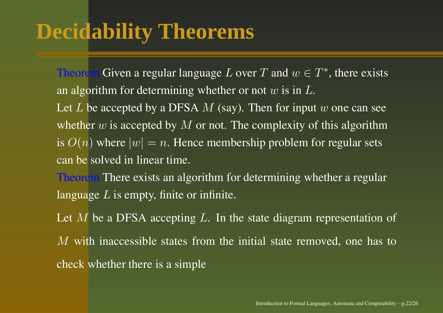# **Decidability Theorems**

Theorem Given a regular language  $L$  over  $T$  and  $w \in T^*$ , there exists an algorithm for determining whether or not  $w$  is in  $L.$ 

Let  $L$  be accepted by a DFSA  $M$  (say). Then for input  $w$  one can see whether  $w$  is accepted by  $M$  or not. The complexity of this algorithm is  $O(n)$  where  $|w| = n$ . Hence membership problem for regular sets can be solved in linear time.

Theorem There exists an algorithm for determining whether <sup>a</sup> regular language  $L$  is empty, finite or infinite.

Let  $M$  be a DFSA accepting  $L$ . In the state diagram representation of  $M$  with inaccessible states from the initial state removed, one has to check whether there is <sup>a</sup> simple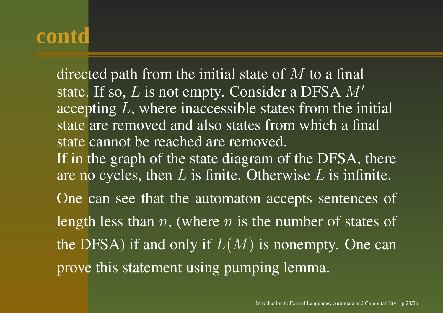directed path from the initial state of  $M$  to a final state. If so,  $L$  is not empty. Consider a DFSA  $M^\prime$ accepting L, where inaccessible states from the initial state are removed and also states from which <sup>a</sup> final state cannot be reached are removed. If in the graph of the state diagram of the DFSA, there are no cycles, then  $L$  is finite. Otherwise  $L$  is infinite. One can see that the automaton accepts sentences of length less than n, (where n is the number of states of the DFSA) if and only if  $L(M)$  is nonempty. One can prove this statement using pumping lemma.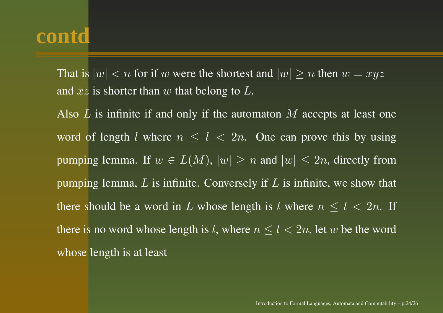That is  $|w| < n$  for if  $w$  were the shortest and  $|w| \ge n$  then  $w = xyz$ and  $xz$  is shorter than  $w$  that belong to  $L.$ 

Also  $L$  is infinite if and only if the automaton  $M$  accepts at least one word of length l where  $n \leq l < 2n$ . One can prove this by using pumping lemma. If  $w \in L(M)$ ,  $|w| \ge n$  and  $|w| \le 2n$ , directly from pumping lemma,  $L$  is infinite. Conversely if  $L$  is infinite, we show that there should be a word in L whose length is l where  $n \leq l < 2n$ . If there is no word whose length is  $l,$  where  $n \leq l < 2n,$  let  $w$  be the word whose length is at least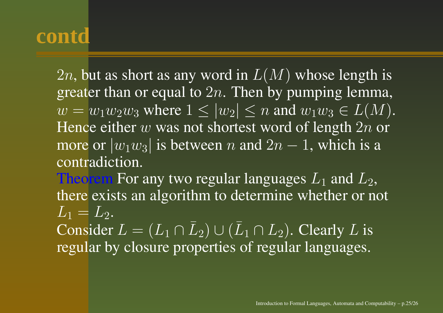2n, but as short as any word in  $L(M)$  whose length is greater than or equal to  $2n$ . Then by pumping lemma,  $w = w_1w_2w_3$  where  $1 \le |w_2| \le n$  and  $w_1w_3 \in L(M)$ . Hence either  $w$  was not shortest word of length  $2n$  or more or  $|w_1w_3|$  is between  $n$  and  $2n-1,$  which is a contradiction.

Theorem For any two regular languages  $L_1$  and  $L_2,$ there exists an algorithm to determine whether or not  $L_1=L_2.$ Consider  $L=(L_1 \cap \bar{L})$  $_2) \cup (\bar{L}$  $L_1 \cap L_2).$  Clearly  $L$  is

regular by closure properties of regular languages.